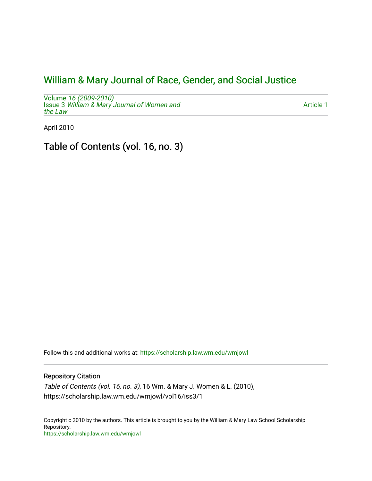## [William & Mary Journal of Race, Gender, and Social Justice](https://scholarship.law.wm.edu/wmjowl)

Volume [16 \(2009-2010\)](https://scholarship.law.wm.edu/wmjowl/vol16)  **Issue 3 [William & Mary Journal of Women and](https://scholarship.law.wm.edu/wmjowl/vol16/iss3)** [the Law](https://scholarship.law.wm.edu/wmjowl/vol16/iss3)

[Article 1](https://scholarship.law.wm.edu/wmjowl/vol16/iss3/1) 

April 2010

Table of Contents (vol. 16, no. 3)

Follow this and additional works at: [https://scholarship.law.wm.edu/wmjowl](https://scholarship.law.wm.edu/wmjowl?utm_source=scholarship.law.wm.edu%2Fwmjowl%2Fvol16%2Fiss3%2F1&utm_medium=PDF&utm_campaign=PDFCoverPages) 

## Repository Citation

Table of Contents (vol. 16, no. 3), 16 Wm. & Mary J. Women & L. (2010), https://scholarship.law.wm.edu/wmjowl/vol16/iss3/1

Copyright c 2010 by the authors. This article is brought to you by the William & Mary Law School Scholarship Repository. <https://scholarship.law.wm.edu/wmjowl>